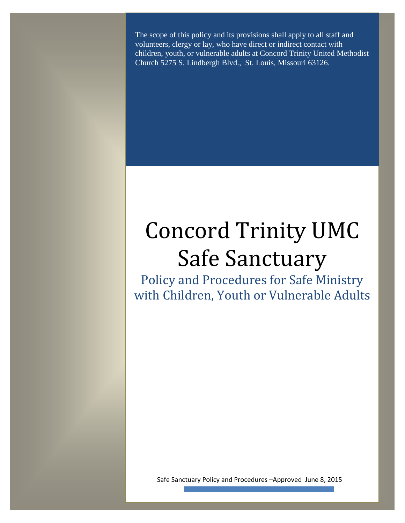The scope of this policy and its provisions shall apply to all staff and volunteers, clergy or lay, who have direct or indirect contact with children, youth, or vulnerable adults at Concord Trinity United Methodist Church 5275 S. Lindbergh Blvd., St. Louis, Missouri 63126.

# Concord Trinity UMC Safe Sanctuary

Policy and Procedures for Safe Ministry with Children, Youth or Vulnerable Adults

Safe Sanctuary Policy and Procedures –Approved June 8, 2015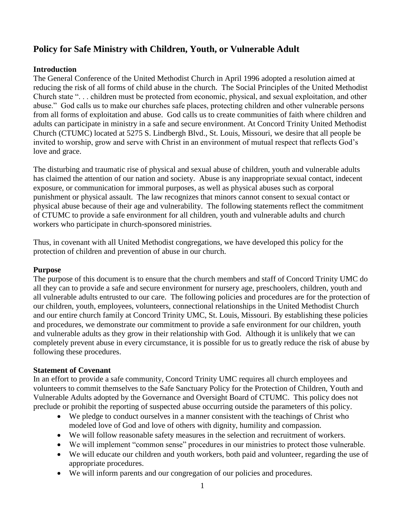# **Policy for Safe Ministry with Children, Youth, or Vulnerable Adult**

### **Introduction**

The General Conference of the United Methodist Church in April 1996 adopted a resolution aimed at reducing the risk of all forms of child abuse in the church. The Social Principles of the United Methodist Church state ". . . children must be protected from economic, physical, and sexual exploitation, and other abuse." God calls us to make our churches safe places, protecting children and other vulnerable persons from all forms of exploitation and abuse. God calls us to create communities of faith where children and adults can participate in ministry in a safe and secure environment. At Concord Trinity United Methodist Church (CTUMC) located at 5275 S. Lindbergh Blvd., St. Louis, Missouri, we desire that all people be invited to worship, grow and serve with Christ in an environment of mutual respect that reflects God's love and grace.

The disturbing and traumatic rise of physical and sexual abuse of children, youth and vulnerable adults has claimed the attention of our nation and society. Abuse is any inappropriate sexual contact, indecent exposure, or communication for immoral purposes, as well as physical abuses such as corporal punishment or physical assault. The law recognizes that minors cannot consent to sexual contact or physical abuse because of their age and vulnerability. The following statements reflect the commitment of CTUMC to provide a safe environment for all children, youth and vulnerable adults and church workers who participate in church-sponsored ministries.

Thus, in covenant with all United Methodist congregations, we have developed this policy for the protection of children and prevention of abuse in our church.

#### **Purpose**

The purpose of this document is to ensure that the church members and staff of Concord Trinity UMC do all they can to provide a safe and secure environment for nursery age, preschoolers, children, youth and all vulnerable adults entrusted to our care. The following policies and procedures are for the protection of our children, youth, employees, volunteers, connectional relationships in the United Methodist Church and our entire church family at Concord Trinity UMC, St. Louis, Missouri. By establishing these policies and procedures, we demonstrate our commitment to provide a safe environment for our children, youth and vulnerable adults as they grow in their relationship with God. Although it is unlikely that we can completely prevent abuse in every circumstance, it is possible for us to greatly reduce the risk of abuse by following these procedures.

#### **Statement of Covenant**

In an effort to provide a safe community, Concord Trinity UMC requires all church employees and volunteers to commit themselves to the Safe Sanctuary Policy for the Protection of Children, Youth and Vulnerable Adults adopted by the Governance and Oversight Board of CTUMC. This policy does not preclude or prohibit the reporting of suspected abuse occurring outside the parameters of this policy.

- We pledge to conduct ourselves in a manner consistent with the teachings of Christ who modeled love of God and love of others with dignity, humility and compassion.
- We will follow reasonable safety measures in the selection and recruitment of workers.
- We will implement "common sense" procedures in our ministries to protect those vulnerable.
- We will educate our children and youth workers, both paid and volunteer, regarding the use of appropriate procedures.
- We will inform parents and our congregation of our policies and procedures.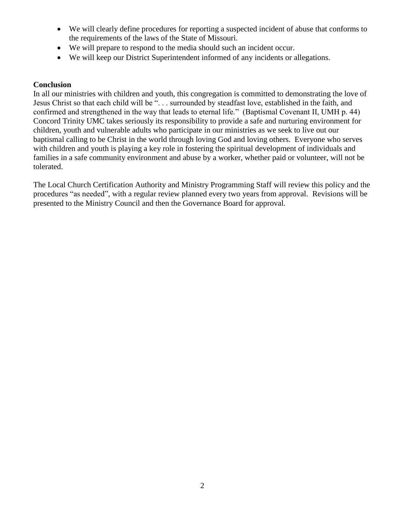- We will clearly define procedures for reporting a suspected incident of abuse that conforms to the requirements of the laws of the State of Missouri.
- We will prepare to respond to the media should such an incident occur.
- We will keep our District Superintendent informed of any incidents or allegations.

#### **Conclusion**

In all our ministries with children and youth, this congregation is committed to demonstrating the love of Jesus Christ so that each child will be ". . . surrounded by steadfast love, established in the faith, and confirmed and strengthened in the way that leads to eternal life." (Baptismal Covenant II, UMH p. 44) Concord Trinity UMC takes seriously its responsibility to provide a safe and nurturing environment for children, youth and vulnerable adults who participate in our ministries as we seek to live out our baptismal calling to be Christ in the world through loving God and loving others. Everyone who serves with children and youth is playing a key role in fostering the spiritual development of individuals and families in a safe community environment and abuse by a worker, whether paid or volunteer, will not be tolerated.

The Local Church Certification Authority and Ministry Programming Staff will review this policy and the procedures "as needed", with a regular review planned every two years from approval. Revisions will be presented to the Ministry Council and then the Governance Board for approval.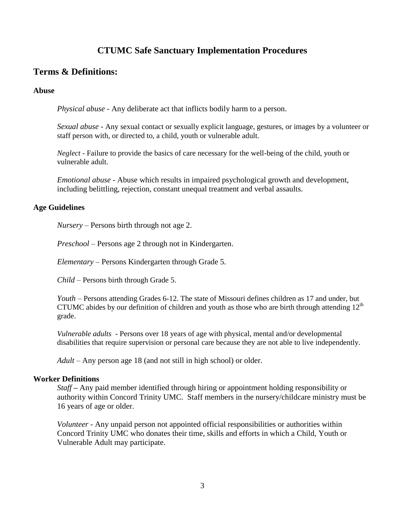# **CTUMC Safe Sanctuary Implementation Procedures**

# **Terms & Definitions:**

#### **Abuse**

*Physical abuse* - Any deliberate act that inflicts bodily harm to a person.

*Sexual abuse* - Any sexual contact or sexually explicit language, gestures, or images by a volunteer or staff person with, or directed to, a child, youth or vulnerable adult.

*Neglect* - Failure to provide the basics of care necessary for the well-being of the child, youth or vulnerable adult.

*Emotional abuse* - Abuse which results in impaired psychological growth and development, including belittling, rejection, constant unequal treatment and verbal assaults.

#### **Age Guidelines**

*Nursery –* Persons birth through not age 2.

*Preschool –* Persons age 2 through not in Kindergarten.

*Elementary –* Persons Kindergarten through Grade 5.

*Child* – Persons birth through Grade 5.

*Youth* – Persons attending Grades 6-12. The state of Missouri defines children as 17 and under, but CTUMC abides by our definition of children and youth as those who are birth through attending  $12<sup>th</sup>$ grade.

*Vulnerable adults* - Persons over 18 years of age with physical, mental and/or developmental disabilities that require supervision or personal care because they are not able to live independently.

*Adult* – Any person age 18 (and not still in high school) or older.

#### **Worker Definitions**

*Staff* **–** Any paid member identified through hiring or appointment holding responsibility or authority within Concord Trinity UMC. Staff members in the nursery/childcare ministry must be 16 years of age or older.

*Volunteer* - Any unpaid person not appointed official responsibilities or authorities within Concord Trinity UMC who donates their time, skills and efforts in which a Child, Youth or Vulnerable Adult may participate.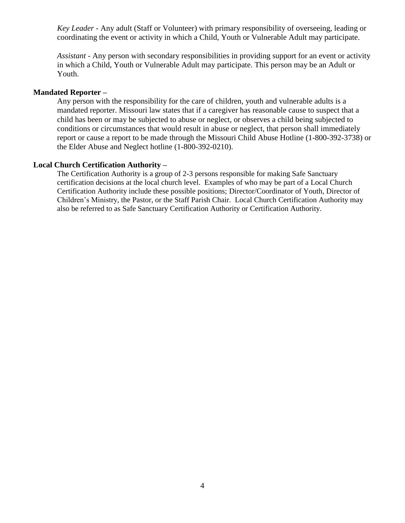*Key Leader -* Any adult (Staff or Volunteer) with primary responsibility of overseeing, leading or coordinating the event or activity in which a Child, Youth or Vulnerable Adult may participate.

*Assistant* - Any person with secondary responsibilities in providing support for an event or activity in which a Child, Youth or Vulnerable Adult may participate. This person may be an Adult or Youth.

#### **Mandated Reporter –**

Any person with the responsibility for the care of children, youth and vulnerable adults is a mandated reporter. Missouri law states that if a caregiver has reasonable cause to suspect that a child has been or may be subjected to abuse or neglect, or observes a child being subjected to conditions or circumstances that would result in abuse or neglect, that person shall immediately report or cause a report to be made through the Missouri Child Abuse Hotline (1-800-392-3738) or the Elder Abuse and Neglect hotline (1-800-392-0210).

#### **Local Church Certification Authority –**

The Certification Authority is a group of 2-3 persons responsible for making Safe Sanctuary certification decisions at the local church level. Examples of who may be part of a Local Church Certification Authority include these possible positions; Director/Coordinator of Youth, Director of Children's Ministry, the Pastor, or the Staff Parish Chair. Local Church Certification Authority may also be referred to as Safe Sanctuary Certification Authority or Certification Authority.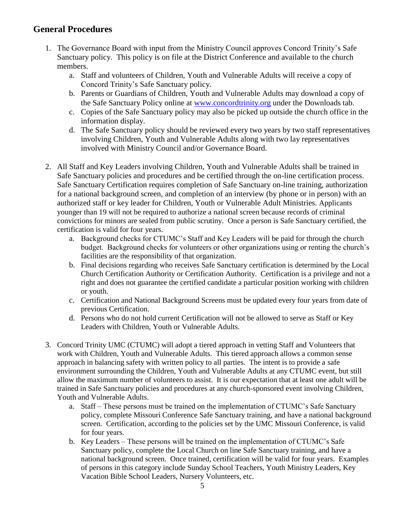# **General Procedures**

- 1. The Governance Board with input from the Ministry Council approves Concord Trinity's Safe Sanctuary policy. This policy is on file at the District Conference and available to the church members.
	- a. Staff and volunteers of Children, Youth and Vulnerable Adults will receive a copy of Concord Trinity's Safe Sanctuary policy.
	- b. Parents or Guardians of Children, Youth and Vulnerable Adults may download a copy of the Safe Sanctuary Policy online at [www.concordtrinity.org](http://www.concordtrinity.org/) under the Downloads tab.
	- c. Copies of the Safe Sanctuary policy may also be picked up outside the church office in the information display.
	- d. The Safe Sanctuary policy should be reviewed every two years by two staff representatives involving Children, Youth and Vulnerable Adults along with two lay representatives involved with Ministry Council and/or Governance Board.
- 2. All Staff and Key Leaders involving Children, Youth and Vulnerable Adults shall be trained in Safe Sanctuary policies and procedures and be certified through the on-line certification process. Safe Sanctuary Certification requires completion of Safe Sanctuary on-line training, authorization for a national background screen, and completion of an interview (by phone or in person) with an authorized staff or key leader for Children, Youth or Vulnerable Adult Ministries. Applicants younger than 19 will not be required to authorize a national screen because records of criminal convictions for minors are sealed from public scrutiny. Once a person is Safe Sanctuary certified, the certification is valid for four years.
	- a. Background checks for CTUMC's Staff and Key Leaders will be paid for through the church budget. Background checks for volunteers or other organizations using or renting the church's facilities are the responsibility of that organization.
	- b. Final decisions regarding who receives Safe Sanctuary certification is determined by the Local Church Certification Authority or Certification Authority. Certification is a privilege and not a right and does not guarantee the certified candidate a particular position working with children or youth.
	- c. Certification and National Background Screens must be updated every four years from date of previous Certification.
	- d. Persons who do not hold current Certification will not be allowed to serve as Staff or Key Leaders with Children, Youth or Vulnerable Adults.
- 3. Concord Trinity UMC (CTUMC) will adopt a tiered approach in vetting Staff and Volunteers that work with Children, Youth and Vulnerable Adults. This tiered approach allows a common sense approach in balancing safety with written policy to all parties. The intent is to provide a safe environment surrounding the Children, Youth and Vulnerable Adults at any CTUMC event, but still allow the maximum number of volunteers to assist. It is our expectation that at least one adult will be trained in Safe Sanctuary policies and procedures at any church-sponsored event involving Children, Youth and Vulnerable Adults.
	- a. Staff These persons must be trained on the implementation of CTUMC's Safe Sanctuary policy, complete Missouri Conference Safe Sanctuary training, and have a national background screen. Certification, according to the policies set by the UMC Missouri Conference, is valid for four years.
	- b. Key Leaders These persons will be trained on the implementation of CTUMC's Safe Sanctuary policy, complete the Local Church on line Safe Sanctuary training, and have a national background screen. Once trained, certification will be valid for four years. Examples of persons in this category include Sunday School Teachers, Youth Ministry Leaders, Key Vacation Bible School Leaders, Nursery Volunteers, etc.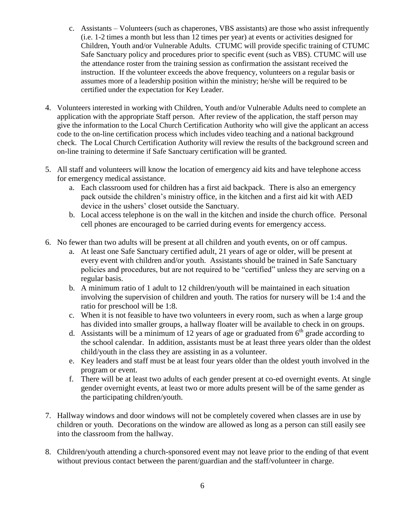- c. Assistants Volunteers (such as chaperones, VBS assistants) are those who assist infrequently (i.e. 1-2 times a month but less than 12 times per year) at events or activities designed for Children, Youth and/or Vulnerable Adults. CTUMC will provide specific training of CTUMC Safe Sanctuary policy and procedures prior to specific event (such as VBS). CTUMC will use the attendance roster from the training session as confirmation the assistant received the instruction. If the volunteer exceeds the above frequency, volunteers on a regular basis or assumes more of a leadership position within the ministry; he/she will be required to be certified under the expectation for Key Leader.
- 4. Volunteers interested in working with Children, Youth and/or Vulnerable Adults need to complete an application with the appropriate Staff person. After review of the application, the staff person may give the information to the Local Church Certification Authority who will give the applicant an access code to the on-line certification process which includes video teaching and a national background check. The Local Church Certification Authority will review the results of the background screen and on-line training to determine if Safe Sanctuary certification will be granted.
- 5. All staff and volunteers will know the location of emergency aid kits and have telephone access for emergency medical assistance.
	- a. Each classroom used for children has a first aid backpack. There is also an emergency pack outside the children's ministry office, in the kitchen and a first aid kit with AED device in the ushers' closet outside the Sanctuary.
	- b. Local access telephone is on the wall in the kitchen and inside the church office. Personal cell phones are encouraged to be carried during events for emergency access.
- 6. No fewer than two adults will be present at all children and youth events, on or off campus.
	- a. At least one Safe Sanctuary certified adult, 21 years of age or older, will be present at every event with children and/or youth. Assistants should be trained in Safe Sanctuary policies and procedures, but are not required to be "certified" unless they are serving on a regular basis.
	- b. A minimum ratio of 1 adult to 12 children/youth will be maintained in each situation involving the supervision of children and youth. The ratios for nursery will be 1:4 and the ratio for preschool will be 1:8.
	- c. When it is not feasible to have two volunteers in every room, such as when a large group has divided into smaller groups, a hallway floater will be available to check in on groups.
	- d. Assistants will be a minimum of 12 years of age or graduated from  $6<sup>th</sup>$  grade according to the school calendar. In addition, assistants must be at least three years older than the oldest child/youth in the class they are assisting in as a volunteer.
	- e. Key leaders and staff must be at least four years older than the oldest youth involved in the program or event.
	- f. There will be at least two adults of each gender present at co-ed overnight events. At single gender overnight events, at least two or more adults present will be of the same gender as the participating children/youth.
- 7. Hallway windows and door windows will not be completely covered when classes are in use by children or youth. Decorations on the window are allowed as long as a person can still easily see into the classroom from the hallway.
- 8. Children/youth attending a church-sponsored event may not leave prior to the ending of that event without previous contact between the parent/guardian and the staff/volunteer in charge.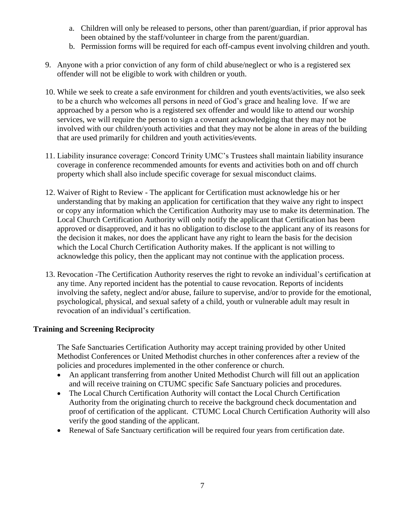- a. Children will only be released to persons, other than parent/guardian, if prior approval has been obtained by the staff/volunteer in charge from the parent/guardian.
- b. Permission forms will be required for each off-campus event involving children and youth.
- 9. Anyone with a prior conviction of any form of child abuse/neglect or who is a registered sex offender will not be eligible to work with children or youth.
- 10. While we seek to create a safe environment for children and youth events/activities, we also seek to be a church who welcomes all persons in need of God's grace and healing love. If we are approached by a person who is a registered sex offender and would like to attend our worship services, we will require the person to sign a covenant acknowledging that they may not be involved with our children/youth activities and that they may not be alone in areas of the building that are used primarily for children and youth activities/events.
- 11. Liability insurance coverage: Concord Trinity UMC's Trustees shall maintain liability insurance coverage in conference recommended amounts for events and activities both on and off church property which shall also include specific coverage for sexual misconduct claims.
- 12. Waiver of Right to Review The applicant for Certification must acknowledge his or her understanding that by making an application for certification that they waive any right to inspect or copy any information which the Certification Authority may use to make its determination. The Local Church Certification Authority will only notify the applicant that Certification has been approved or disapproved, and it has no obligation to disclose to the applicant any of its reasons for the decision it makes, nor does the applicant have any right to learn the basis for the decision which the Local Church Certification Authority makes. If the applicant is not willing to acknowledge this policy, then the applicant may not continue with the application process.
- 13. Revocation -The Certification Authority reserves the right to revoke an individual's certification at any time. Any reported incident has the potential to cause revocation. Reports of incidents involving the safety, neglect and/or abuse, failure to supervise, and/or to provide for the emotional, psychological, physical, and sexual safety of a child, youth or vulnerable adult may result in revocation of an individual's certification.

# **Training and Screening Reciprocity**

The Safe Sanctuaries Certification Authority may accept training provided by other United Methodist Conferences or United Methodist churches in other conferences after a review of the policies and procedures implemented in the other conference or church.

- An applicant transferring from another United Methodist Church will fill out an application and will receive training on CTUMC specific Safe Sanctuary policies and procedures.
- The Local Church Certification Authority will contact the Local Church Certification Authority from the originating church to receive the background check documentation and proof of certification of the applicant. CTUMC Local Church Certification Authority will also verify the good standing of the applicant.
- Renewal of Safe Sanctuary certification will be required four years from certification date.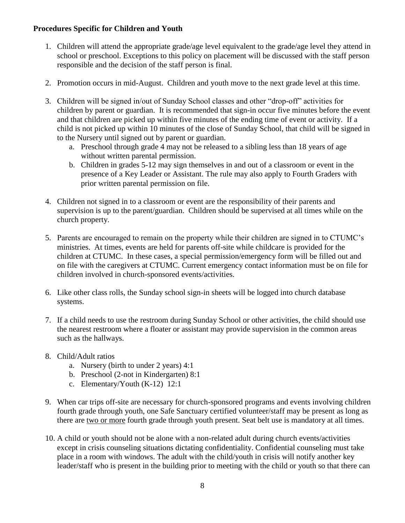## **Procedures Specific for Children and Youth**

- 1. Children will attend the appropriate grade/age level equivalent to the grade/age level they attend in school or preschool. Exceptions to this policy on placement will be discussed with the staff person responsible and the decision of the staff person is final.
- 2. Promotion occurs in mid-August. Children and youth move to the next grade level at this time.
- 3. Children will be signed in/out of Sunday School classes and other "drop-off" activities for children by parent or guardian. It is recommended that sign-in occur five minutes before the event and that children are picked up within five minutes of the ending time of event or activity. If a child is not picked up within 10 minutes of the close of Sunday School, that child will be signed in to the Nursery until signed out by parent or guardian.
	- a. Preschool through grade 4 may not be released to a sibling less than 18 years of age without written parental permission.
	- b. Children in grades 5-12 may sign themselves in and out of a classroom or event in the presence of a Key Leader or Assistant. The rule may also apply to Fourth Graders with prior written parental permission on file.
- 4. Children not signed in to a classroom or event are the responsibility of their parents and supervision is up to the parent/guardian. Children should be supervised at all times while on the church property.
- 5. Parents are encouraged to remain on the property while their children are signed in to CTUMC's ministries. At times, events are held for parents off-site while childcare is provided for the children at CTUMC. In these cases, a special permission/emergency form will be filled out and on file with the caregivers at CTUMC. Current emergency contact information must be on file for children involved in church-sponsored events/activities.
- 6. Like other class rolls, the Sunday school sign-in sheets will be logged into church database systems.
- 7. If a child needs to use the restroom during Sunday School or other activities, the child should use the nearest restroom where a floater or assistant may provide supervision in the common areas such as the hallways.
- 8. Child/Adult ratios
	- a. Nursery (birth to under 2 years) 4:1
	- b. Preschool (2-not in Kindergarten) 8:1
	- c. Elementary/Youth (K-12) 12:1
- 9. When car trips off-site are necessary for church-sponsored programs and events involving children fourth grade through youth, one Safe Sanctuary certified volunteer/staff may be present as long as there are two or more fourth grade through youth present. Seat belt use is mandatory at all times.
- 10. A child or youth should not be alone with a non-related adult during church events/activities except in crisis counseling situations dictating confidentiality. Confidential counseling must take place in a room with windows. The adult with the child/youth in crisis will notify another key leader/staff who is present in the building prior to meeting with the child or youth so that there can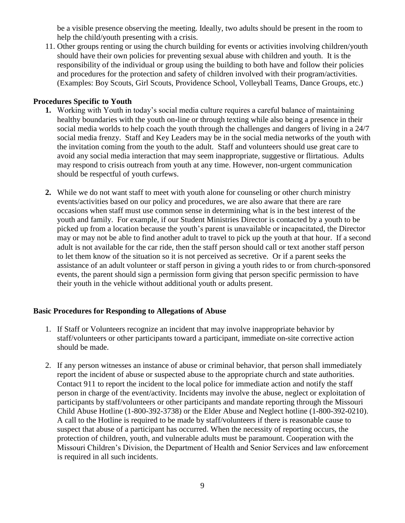be a visible presence observing the meeting. Ideally, two adults should be present in the room to help the child/youth presenting with a crisis.

11. Other groups renting or using the church building for events or activities involving children/youth should have their own policies for preventing sexual abuse with children and youth. It is the responsibility of the individual or group using the building to both have and follow their policies and procedures for the protection and safety of children involved with their program/activities. (Examples: Boy Scouts, Girl Scouts, Providence School, Volleyball Teams, Dance Groups, etc.)

#### **Procedures Specific to Youth**

- **1.** Working with Youth in today's social media culture requires a careful balance of maintaining healthy boundaries with the youth on-line or through texting while also being a presence in their social media worlds to help coach the youth through the challenges and dangers of living in a 24/7 social media frenzy. Staff and Key Leaders may be in the social media networks of the youth with the invitation coming from the youth to the adult. Staff and volunteers should use great care to avoid any social media interaction that may seem inappropriate, suggestive or flirtatious. Adults may respond to crisis outreach from youth at any time. However, non-urgent communication should be respectful of youth curfews.
- **2.** While we do not want staff to meet with youth alone for counseling or other church ministry events/activities based on our policy and procedures, we are also aware that there are rare occasions when staff must use common sense in determining what is in the best interest of the youth and family. For example, if our Student Ministries Director is contacted by a youth to be picked up from a location because the youth's parent is unavailable or incapacitated, the Director may or may not be able to find another adult to travel to pick up the youth at that hour. If a second adult is not available for the car ride, then the staff person should call or text another staff person to let them know of the situation so it is not perceived as secretive. Or if a parent seeks the assistance of an adult volunteer or staff person in giving a youth rides to or from church-sponsored events, the parent should sign a permission form giving that person specific permission to have their youth in the vehicle without additional youth or adults present.

## **Basic Procedures for Responding to Allegations of Abuse**

- 1. If Staff or Volunteers recognize an incident that may involve inappropriate behavior by staff/volunteers or other participants toward a participant, immediate on-site corrective action should be made.
- 2. If any person witnesses an instance of abuse or criminal behavior, that person shall immediately report the incident of abuse or suspected abuse to the appropriate church and state authorities. Contact 911 to report the incident to the local police for immediate action and notify the staff person in charge of the event/activity. Incidents may involve the abuse, neglect or exploitation of participants by staff/volunteers or other participants and mandate reporting through the Missouri Child Abuse Hotline (1-800-392-3738) or the Elder Abuse and Neglect hotline (1-800-392-0210). A call to the Hotline is required to be made by staff/volunteers if there is reasonable cause to suspect that abuse of a participant has occurred. When the necessity of reporting occurs, the protection of children, youth, and vulnerable adults must be paramount. Cooperation with the Missouri Children's Division, the Department of Health and Senior Services and law enforcement is required in all such incidents.